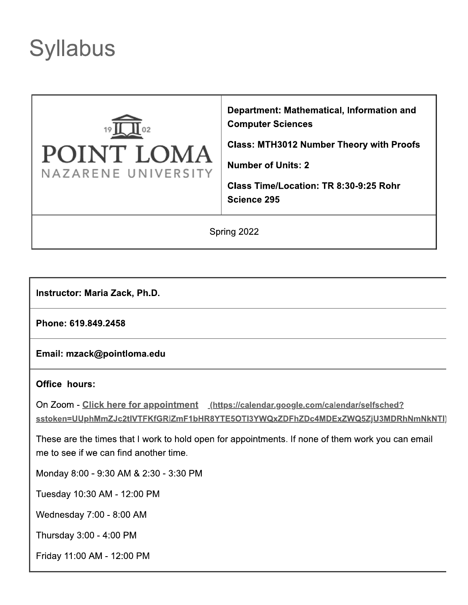# **Syllabus**



Department: Mathematical, Information and **Computer Sciences** 

**Class: MTH3012 Number Theory with Proofs** 

**Number of Units: 2** 

Class Time/Location: TR 8:30-9:25 Rohr Science 295

Spring 2022

**Instructor: Maria Zack, Ph.D.** 

Phone: 619.849.2458

Email: mzack@pointloma.edu

#### **Office hours:**

On Zoom - Click here for appointment (https://calendar.google.com/calendar/selfsched? sstoken=UUphMmZJc2tIVTFKfGRIZmF1bHR8YTE5OTI3YWQxZDFhZDc4MDExZWQ5ZjU3MDRhNmNkNTI)

These are the times that I work to hold open for appointments. If none of them work you can email me to see if we can find another time.

Monday 8:00 - 9:30 AM & 2:30 - 3:30 PM

Tuesday 10:30 AM - 12:00 PM

Wednesday 7:00 - 8:00 AM

Thursday 3:00 - 4:00 PM

Friday 11:00 AM - 12:00 PM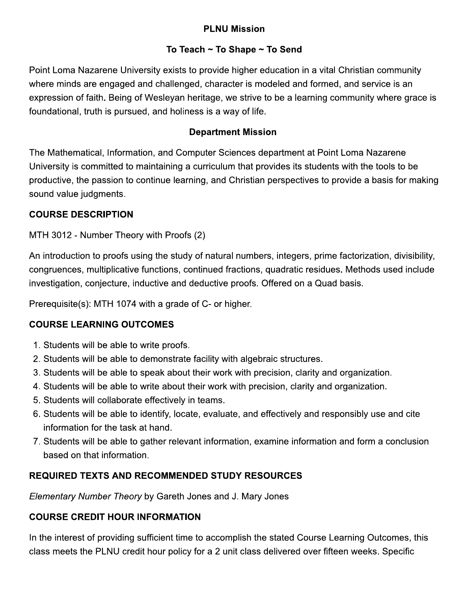# **PLNU Mission**

#### To Teach  $\sim$  To Shape  $\sim$  To Send

Point Loma Nazarene University exists to provide higher education in a vital Christian community where minds are engaged and challenged, character is modeled and formed, and service is an expression of faith. Being of Wesleyan heritage, we strive to be a learning community where grace is foundational, truth is pursued, and holiness is a way of life.

#### **Department Mission**

The Mathematical, Information, and Computer Sciences department at Point Loma Nazarene University is committed to maintaining a curriculum that provides its students with the tools to be productive, the passion to continue learning, and Christian perspectives to provide a basis for making sound value judgments.

#### **COURSE DESCRIPTION**

MTH 3012 - Number Theory with Proofs (2)

An introduction to proofs using the study of natural numbers, integers, prime factorization, divisibility, congruences, multiplicative functions, continued fractions, quadratic residues. Methods used include investigation, conjecture, inductive and deductive proofs. Offered on a Quad basis.

Prerequisite(s): MTH 1074 with a grade of C- or higher.

### **COURSE LEARNING OUTCOMES**

- 1. Students will be able to write proofs.
- 2. Students will be able to demonstrate facility with algebraic structures.
- 3. Students will be able to speak about their work with precision, clarity and organization.
- 4. Students will be able to write about their work with precision, clarity and organization.
- 5. Students will collaborate effectively in teams.
- 6. Students will be able to identify, locate, evaluate, and effectively and responsibly use and cite information for the task at hand.
- 7. Students will be able to gather relevant information, examine information and form a conclusion based on that information.

### **REQUIRED TEXTS AND RECOMMENDED STUDY RESOURCES**

Elementary Number Theory by Gareth Jones and J. Mary Jones

### **COURSE CREDIT HOUR INFORMATION**

In the interest of providing sufficient time to accomplish the stated Course Learning Outcomes, this class meets the PLNU credit hour policy for a 2 unit class delivered over fifteen weeks. Specific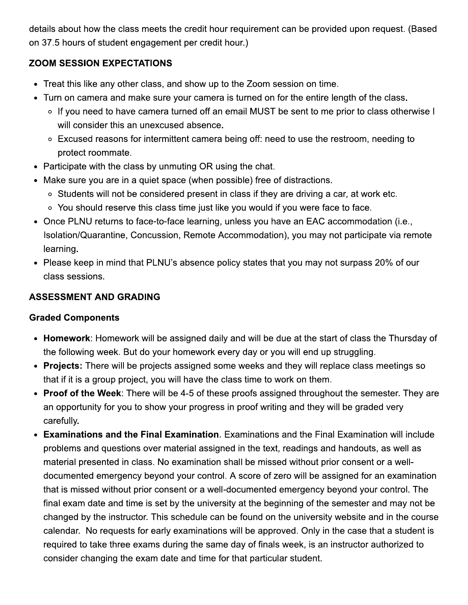details about how the class meets the credit hour requirement can be provided upon request. (Based on 37.5 hours of student engagement per credit hour.)

### **ZOOM SESSION EXPECTATIONS**

- Treat this like any other class, and show up to the Zoom session on time.
- Turn on camera and make sure your camera is turned on for the entire length of the class.
	- ∘ If you need to have camera turned off an email MUST be sent to me prior to class otherwise I will consider this an unexcused absence.
	- Excused reasons for intermittent camera being off: need to use the restroom, needing to protect roommate.
- Participate with the class by unmuting OR using the chat.
- Make sure you are in a quiet space (when possible) free of distractions.
	- o Students will not be considered present in class if they are driving a car, at work etc.
	- You should reserve this class time just like you would if you were face to face.
- Once PLNU returns to face-to-face learning, unless you have an EAC accommodation (i.e., Isolation/Quarantine, Concussion, Remote Accommodation), you may not participate via remote learning.
- Please keep in mind that PLNU's absence policy states that you may not surpass 20% of our class sessions.

#### **ASSESSMENT AND GRADING**

#### **Graded Components**

- Homework: Homework will be assigned daily and will be due at the start of class the Thursday of the following week. But do your homework every day or you will end up struggling.
- Projects: There will be projects assigned some weeks and they will replace class meetings so that if it is a group project, you will have the class time to work on them.
- Proof of the Week: There will be 4-5 of these proofs assigned throughout the semester. They are an opportunity for you to show your progress in proof writing and they will be graded very carefully.
- Examinations and the Final Examination. Examinations and the Final Examination will include problems and questions over material assigned in the text, readings and handouts, as well as material presented in class. No examination shall be missed without prior consent or a welldocumented emergency beyond your control. A score of zero will be assigned for an examination that is missed without prior consent or a well-documented emergency beyond your control. The final exam date and time is set by the university at the beginning of the semester and may not be changed by the instructor. This schedule can be found on the university website and in the course calendar. No requests for early examinations will be approved. Only in the case that a student is required to take three exams during the same day of finals week, is an instructor authorized to consider changing the exam date and time for that particular student.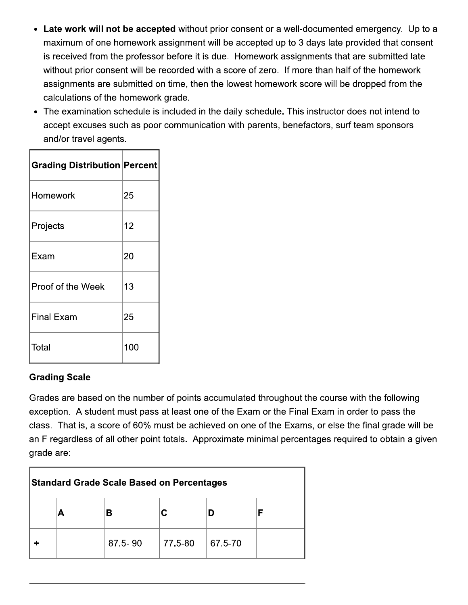- Late work will not be accepted without prior consent or a well-documented emergency. Up to a maximum of one homework assignment will be accepted up to 3 days late provided that consent is received from the professor before it is due. Homework assignments that are submitted late without prior consent will be recorded with a score of zero. If more than half of the homework assignments are submitted on time, then the lowest homework score will be dropped from the calculations of the homework grade.
- The examination schedule is included in the daily schedule. This instructor does not intend to accept excuses such as poor communication with parents, benefactors, surf team sponsors and/or travel agents.

| <b>Grading Distribution Percent</b> |     |
|-------------------------------------|-----|
| Homework                            | 25  |
| Projects                            | 12  |
| Exam                                | 20  |
| Proof of the Week                   | 13  |
| <b>Final Exam</b>                   | 25  |
| Total                               | 100 |

### **Grading Scale**

Grades are based on the number of points accumulated throughout the course with the following exception. A student must pass at least one of the Exam or the Final Exam in order to pass the class. That is, a score of 60% must be achieved on one of the Exams, or else the final grade will be an F regardless of all other point totals. Approximate minimal percentages required to obtain a given grade are:

| <b>Standard Grade Scale Based on Percentages</b> |   |             |         |         |  |
|--------------------------------------------------|---|-------------|---------|---------|--|
|                                                  | А |             |         |         |  |
|                                                  |   | $87.5 - 90$ | 77.5-80 | 67.5-70 |  |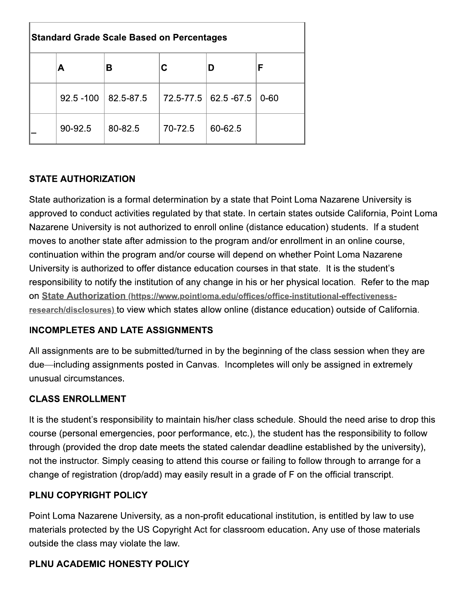| <b>Standard Grade Scale Based on Percentages</b> |              |           |         |                        |          |
|--------------------------------------------------|--------------|-----------|---------|------------------------|----------|
|                                                  | А            | в         |         |                        | F        |
|                                                  | $92.5 - 100$ | 82.5-87.5 |         | 72.5-77.5   62.5 -67.5 | $0 - 60$ |
|                                                  | 90-92.5      | 80-82.5   | 70-72.5 | 60-62.5                |          |

# **STATE AUTHORIZATION**

State authorization is a formal determination by a state that Point Loma Nazarene University is approved to conduct activities regulated by that state. In certain states outside California, Point Loma Nazarene University is not authorized to enroll online (distance education) students. If a student moves to another state after admission to the program and/or enrollment in an online course, continuation within the program and/or course will depend on whether Point Loma Nazarene University is authorized to offer distance education courses in that state. It is the student's responsibility to notify the institution of any change in his or her physical location. Refer to the map on State Authorization (https://www.pointloma.edu/offices/office-institutional-effectivenessresearch/disclosures) to view which states allow online (distance education) outside of California.

### **INCOMPLETES AND LATE ASSIGNMENTS**

All assignments are to be submitted/turned in by the beginning of the class session when they are due—including assignments posted in Canvas. Incompletes will only be assigned in extremely unusual circumstances.

### **CLASS ENROLLMENT**

It is the student's responsibility to maintain his/her class schedule. Should the need arise to drop this course (personal emergencies, poor performance, etc.), the student has the responsibility to follow through (provided the drop date meets the stated calendar deadline established by the university), not the instructor. Simply ceasing to attend this course or failing to follow through to arrange for a change of registration (drop/add) may easily result in a grade of F on the official transcript.

### PLNU COPYRIGHT POLICY

Point Loma Nazarene University, as a non-profit educational institution, is entitled by law to use materials protected by the US Copyright Act for classroom education. Any use of those materials outside the class may violate the law.

# PLNU ACADEMIC HONESTY POLICY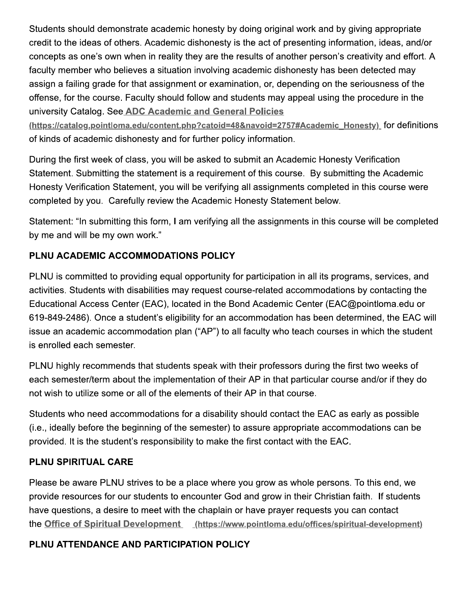Students should demonstrate academic honesty by doing original work and by giving appropriate credit to the ideas of others. Academic dishonesty is the act of presenting information, ideas, and/or concepts as one's own when in reality they are the results of another person's creativity and effort. A faculty member who believes a situation involving academic dishonesty has been detected may assign a failing grade for that assignment or examination, or, depending on the seriousness of the offense, for the course. Faculty should follow and students may appeal using the procedure in the university Catalog. See ADC Academic and General Policies

(https://catalog.pointloma.edu/content.php?catoid=48&navoid=2757#Academic Honesty) for definitions of kinds of academic dishonesty and for further policy information.

During the first week of class, you will be asked to submit an Academic Honesty Verification Statement. Submitting the statement is a requirement of this course. By submitting the Academic Honesty Verification Statement, you will be verifying all assignments completed in this course were completed by you. Carefully review the Academic Honesty Statement below.

Statement: "In submitting this form, I am verifying all the assignments in this course will be completed by me and will be my own work."

# PLNU ACADEMIC ACCOMMODATIONS POLICY

PLNU is committed to providing equal opportunity for participation in all its programs, services, and activities. Students with disabilities may request course-related accommodations by contacting the Educational Access Center (EAC), located in the Bond Academic Center (EAC@pointloma.edu or 619-849-2486). Once a student's eligibility for an accommodation has been determined, the EAC will issue an academic accommodation plan ("AP") to all faculty who teach courses in which the student is enrolled each semester.

PLNU highly recommends that students speak with their professors during the first two weeks of each semester/term about the implementation of their AP in that particular course and/or if they do not wish to utilize some or all of the elements of their AP in that course.

Students who need accommodations for a disability should contact the EAC as early as possible (i.e., ideally before the beginning of the semester) to assure appropriate accommodations can be provided. It is the student's responsibility to make the first contact with the EAC.

### **PLNU SPIRITUAL CARE**

Please be aware PLNU strives to be a place where you grow as whole persons. To this end, we provide resources for our students to encounter God and grow in their Christian faith. If students have questions, a desire to meet with the chaplain or have prayer requests you can contact the Office of Spiritual Development (https://www.pointloma.edu/offices/spiritual-development)

### PLNU ATTENDANCE AND PARTICIPATION POLICY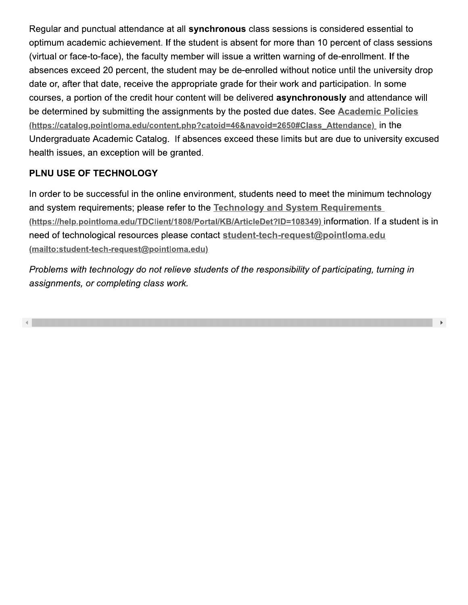Regular and punctual attendance at all **synchronous** class sessions is considered essential to optimum academic achievement. If the student is absent for more than 10 percent of class sessions  $\,$ (virtual or face-to-face), the faculty member will issue a written warning of de-enrollment. If the  $\,$ I attendance at all **synchronous** class sessio<br>
chievement. If the student is absent for more t<br>
e), the faculty member will issue a written war<br>
percent, the student may be de-enrolled with<br>
e, receive the appropriate gra e at all **synchronous** class sessions is consider the student is absent for more than 10 perdy member will issue a written warning of de-eer student may be de-enrolled without notice une appropriate grade for their work an synchronous class sessions is considered estudent is absent for more than 10 percent of de-<br>ber will issue a written warning of de-enrollment may be de-enrolled without notice until the repriate grade for their work and pa absences exceed 20 percent, the student may be de-enrolled without hotice until the university drop synchronous class sessions is considered e<br>student is absent for more than 10 percent of<br>hber will issue a written warning of de-enrollm<br>nt may be de-enrolled without notice until the<br>ropriate grade for their work and part date or, after that date, receive the appropriate grade for their work and participation. In some synchronous class sessions is considered e<br>student is absent for more than 10 percent of<br>nber will issue a written warning of de-enrollm<br>ent may be de-enrolled without notice until the<br>ropriate grade for their work and par courses, a portion of the credit nour content will be delivered **asynchronously** and attendance \ attendance at all **synchronous** class session<br>
thievement. If the student is absent for more t<br>
e), the faculty member will issue a written warr<br>
percent, the student may be de-enrolled with<br>
e, receive the appropriate gra considered essential to<br>0 percent of class sessions<br>f de-enrollment. If the<br>tice until the university drop<br>participation. In some<br>**ously** and attendance will<br>See <u>Academic Policies</u><br>Attendance)\_ in the<br>are due to universit be determined by submitting the assignments by the posted due dates. See <u>Academic Policies</u> <u>(https://catalog.pointloma.edu/content.php?catoid=46&navoid=2650#Class\_Attendance)</u>\_in the Undergraduate Academic Catalog. It absences exceed these limits but are due to university excused nealth issues, an exception will be granted. nces exceed 20 percent, the student may be of, after that date, receive the appropriate graces, a portion of the credit hour content will be termined by submitting the assignments by the statement of the credit hour conten

# PLNU USE OF TECHNOLOGY

in order to be successful in the online environment, students heed to meet the minimum technology in and system requirements; please refer to the <u>Technology and System Requirements</u> <u>(https://help.pointloma.edu/TDClient/1808/Portal/KB/ArticleDet?ID=108349) </u>information. If a student is in need of technological resources please contact <u>student-tech-request@pointioma.edu</u> (mailto:student-tech-request@pointloma.edu)

Problems with technology do not relieve students of the responsibility of participating, turning in assignments, or completing class work.